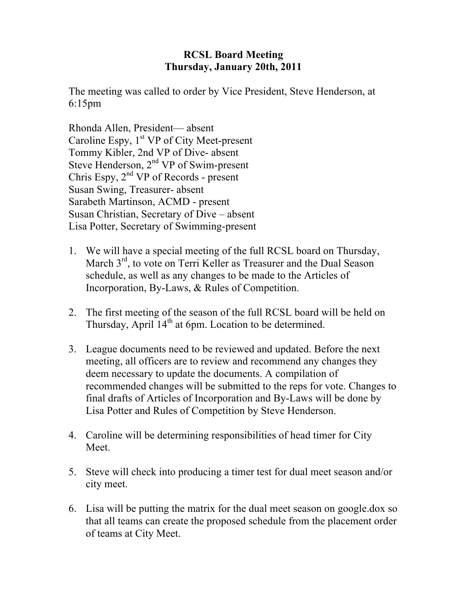## **RCSL Board Meeting Thursday, January 20th, 2011**

The meeting was called to order by Vice President, Steve Henderson, at 6:15pm

Rhonda Allen, President— absent Caroline Espy,  $1<sup>st</sup> VP$  of City Meet-present Tommy Kibler, 2nd VP of Dive- absent Steve Henderson,  $2<sup>nd</sup> VP$  of Swim-present Chris Espy,  $2<sup>nd</sup> VP$  of Records - present Susan Swing, Treasurer- absent Sarabeth Martinson, ACMD - present Susan Christian, Secretary of Dive – absent Lisa Potter, Secretary of Swimming-present

- 1. We will have a special meeting of the full RCSL board on Thursday, March 3<sup>rd</sup>, to vote on Terri Keller as Treasurer and the Dual Season schedule, as well as any changes to be made to the Articles of Incorporation, By-Laws, & Rules of Competition.
- 2. The first meeting of the season of the full RCSL board will be held on Thursday, April  $14<sup>th</sup>$  at 6pm. Location to be determined.
- 3. League documents need to be reviewed and updated. Before the next meeting, all officers are to review and recommend any changes they deem necessary to update the documents. A compilation of recommended changes will be submitted to the reps for vote. Changes to final drafts of Articles of Incorporation and By-Laws will be done by Lisa Potter and Rules of Competition by Steve Henderson.
- 4. Caroline will be determining responsibilities of head timer for City Meet.
- 5. Steve will check into producing a timer test for dual meet season and/or city meet.
- 6. Lisa will be putting the matrix for the dual meet season on google.dox so that all teams can create the proposed schedule from the placement order of teams at City Meet.